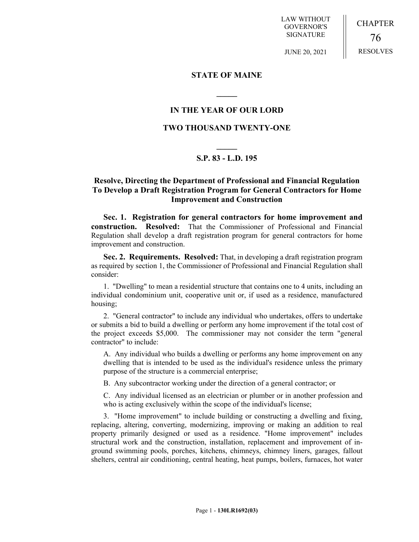LAW WITHOUT GOVERNOR'S SIGNATURE

CHAPTER 76 RESOLVES

JUNE 20, 2021

#### **STATE OF MAINE**

## **IN THE YEAR OF OUR LORD**

**\_\_\_\_\_**

### **TWO THOUSAND TWENTY-ONE**

# **\_\_\_\_\_ S.P. 83 - L.D. 195**

## **Resolve, Directing the Department of Professional and Financial Regulation To Develop a Draft Registration Program for General Contractors for Home Improvement and Construction**

**Sec. 1. Registration for general contractors for home improvement and construction. Resolved:** That the Commissioner of Professional and Financial Regulation shall develop a draft registration program for general contractors for home improvement and construction.

**Sec. 2. Requirements. Resolved:** That, in developing a draft registration program as required by section 1, the Commissioner of Professional and Financial Regulation shall consider:

1. "Dwelling" to mean a residential structure that contains one to 4 units, including an individual condominium unit, cooperative unit or, if used as a residence, manufactured housing;

2. "General contractor" to include any individual who undertakes, offers to undertake or submits a bid to build a dwelling or perform any home improvement if the total cost of the project exceeds \$5,000. The commissioner may not consider the term "general contractor" to include:

A. Any individual who builds a dwelling or performs any home improvement on any dwelling that is intended to be used as the individual's residence unless the primary purpose of the structure is a commercial enterprise;

B. Any subcontractor working under the direction of a general contractor; or

C. Any individual licensed as an electrician or plumber or in another profession and who is acting exclusively within the scope of the individual's license;

3. "Home improvement" to include building or constructing a dwelling and fixing, replacing, altering, converting, modernizing, improving or making an addition to real property primarily designed or used as a residence. "Home improvement" includes structural work and the construction, installation, replacement and improvement of inground swimming pools, porches, kitchens, chimneys, chimney liners, garages, fallout shelters, central air conditioning, central heating, heat pumps, boilers, furnaces, hot water